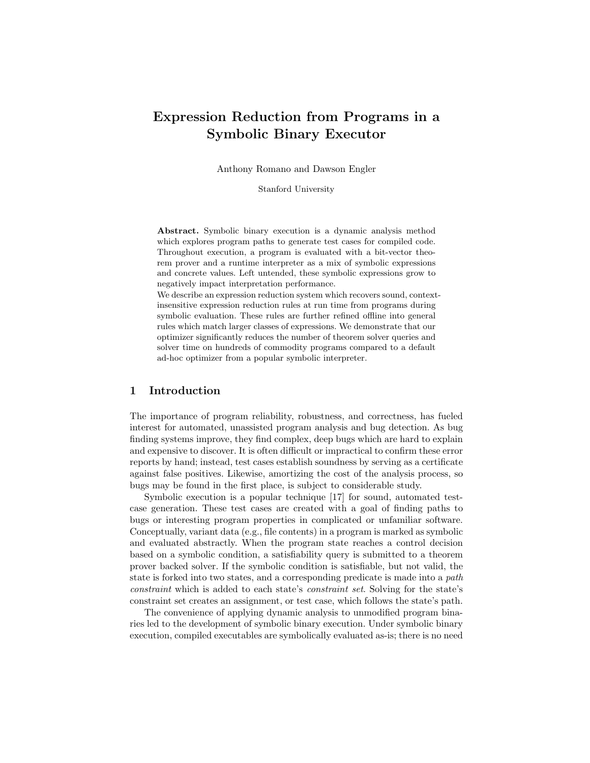# Expression Reduction from Programs in a Symbolic Binary Executor

Anthony Romano and Dawson Engler

Stanford University

Abstract. Symbolic binary execution is a dynamic analysis method which explores program paths to generate test cases for compiled code. Throughout execution, a program is evaluated with a bit-vector theorem prover and a runtime interpreter as a mix of symbolic expressions and concrete values. Left untended, these symbolic expressions grow to negatively impact interpretation performance.

We describe an expression reduction system which recovers sound, contextinsensitive expression reduction rules at run time from programs during symbolic evaluation. These rules are further refined offline into general rules which match larger classes of expressions. We demonstrate that our optimizer significantly reduces the number of theorem solver queries and solver time on hundreds of commodity programs compared to a default ad-hoc optimizer from a popular symbolic interpreter.

## 1 Introduction

The importance of program reliability, robustness, and correctness, has fueled interest for automated, unassisted program analysis and bug detection. As bug finding systems improve, they find complex, deep bugs which are hard to explain and expensive to discover. It is often difficult or impractical to confirm these error reports by hand; instead, test cases establish soundness by serving as a certificate against false positives. Likewise, amortizing the cost of the analysis process, so bugs may be found in the first place, is subject to considerable study.

Symbolic execution is a popular technique [17] for sound, automated testcase generation. These test cases are created with a goal of finding paths to bugs or interesting program properties in complicated or unfamiliar software. Conceptually, variant data (e.g., file contents) in a program is marked as symbolic and evaluated abstractly. When the program state reaches a control decision based on a symbolic condition, a satisfiability query is submitted to a theorem prover backed solver. If the symbolic condition is satisfiable, but not valid, the state is forked into two states, and a corresponding predicate is made into a path constraint which is added to each state's constraint set. Solving for the state's constraint set creates an assignment, or test case, which follows the state's path.

The convenience of applying dynamic analysis to unmodified program binaries led to the development of symbolic binary execution. Under symbolic binary execution, compiled executables are symbolically evaluated as-is; there is no need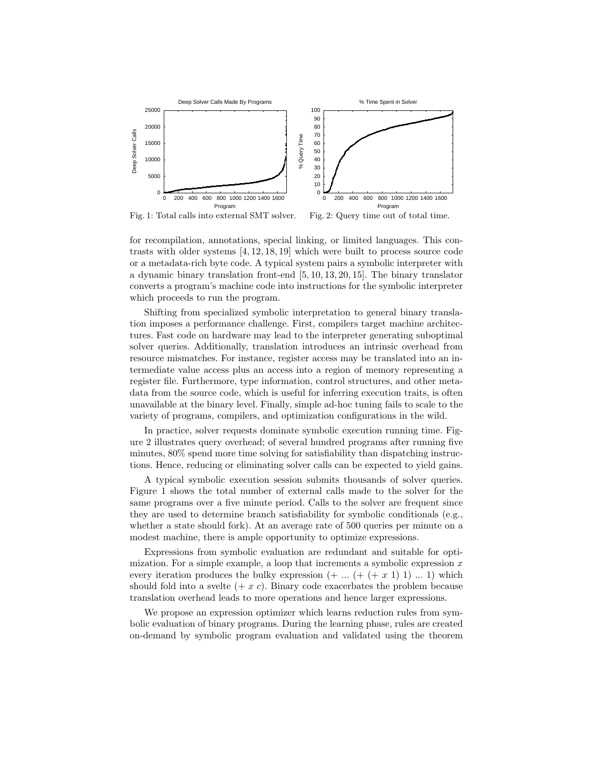

Fig. 1: Total calls into external SMT solver. Fig. 2: Query time out of total time.

for recompilation, annotations, special linking, or limited languages. This contrasts with older systems [4, 12, 18, 19] which were built to process source code or a metadata-rich byte code. A typical system pairs a symbolic interpreter with a dynamic binary translation front-end [5, 10, 13, 20, 15]. The binary translator converts a program's machine code into instructions for the symbolic interpreter which proceeds to run the program.

Shifting from specialized symbolic interpretation to general binary translation imposes a performance challenge. First, compilers target machine architectures. Fast code on hardware may lead to the interpreter generating suboptimal solver queries. Additionally, translation introduces an intrinsic overhead from resource mismatches. For instance, register access may be translated into an intermediate value access plus an access into a region of memory representing a register file. Furthermore, type information, control structures, and other metadata from the source code, which is useful for inferring execution traits, is often unavailable at the binary level. Finally, simple ad-hoc tuning fails to scale to the variety of programs, compilers, and optimization configurations in the wild.

In practice, solver requests dominate symbolic execution running time. Figure 2 illustrates query overhead; of several hundred programs after running five minutes, 80% spend more time solving for satisfiability than dispatching instructions. Hence, reducing or eliminating solver calls can be expected to yield gains.

A typical symbolic execution session submits thousands of solver queries. Figure 1 shows the total number of external calls made to the solver for the same programs over a five minute period. Calls to the solver are frequent since they are used to determine branch satisfiability for symbolic conditionals (e.g., whether a state should fork). At an average rate of 500 queries per minute on a modest machine, there is ample opportunity to optimize expressions.

Expressions from symbolic evaluation are redundant and suitable for optimization. For a simple example, a loop that increments a symbolic expression  $x$ every iteration produces the bulky expression  $(+ \dots (+ + x 1) 1) \dots 1)$  which should fold into a svelte  $(+ x c)$ . Binary code exacerbates the problem because translation overhead leads to more operations and hence larger expressions.

We propose an expression optimizer which learns reduction rules from symbolic evaluation of binary programs. During the learning phase, rules are created on-demand by symbolic program evaluation and validated using the theorem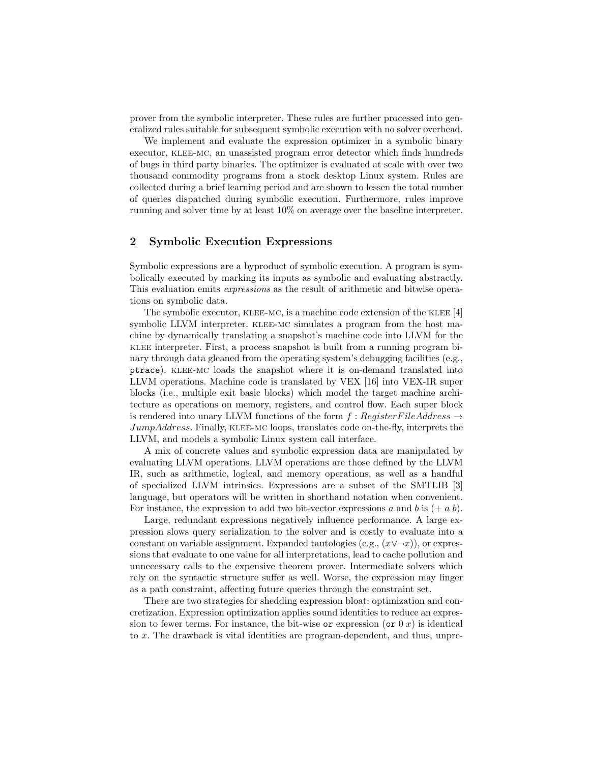prover from the symbolic interpreter. These rules are further processed into generalized rules suitable for subsequent symbolic execution with no solver overhead.

We implement and evaluate the expression optimizer in a symbolic binary executor, klee-mc, an unassisted program error detector which finds hundreds of bugs in third party binaries. The optimizer is evaluated at scale with over two thousand commodity programs from a stock desktop Linux system. Rules are collected during a brief learning period and are shown to lessen the total number of queries dispatched during symbolic execution. Furthermore, rules improve running and solver time by at least 10% on average over the baseline interpreter.

# 2 Symbolic Execution Expressions

Symbolic expressions are a byproduct of symbolic execution. A program is symbolically executed by marking its inputs as symbolic and evaluating abstractly. This evaluation emits *expressions* as the result of arithmetic and bitwise operations on symbolic data.

The symbolic executor, KLEE-MC, is a machine code extension of the KLEE  $[4]$ symbolic LLVM interpreter. KLEE-MC simulates a program from the host machine by dynamically translating a snapshot's machine code into LLVM for the klee interpreter. First, a process snapshot is built from a running program binary through data gleaned from the operating system's debugging facilities (e.g., ptrace). KLEE-MC loads the snapshot where it is on-demand translated into LLVM operations. Machine code is translated by VEX [16] into VEX-IR super blocks (i.e., multiple exit basic blocks) which model the target machine architecture as operations on memory, registers, and control flow. Each super block is rendered into unary LLVM functions of the form  $f : RegisterFileAddress \rightarrow$ JumpAddress. Finally, KLEE-MC loops, translates code on-the-fly, interprets the LLVM, and models a symbolic Linux system call interface.

A mix of concrete values and symbolic expression data are manipulated by evaluating LLVM operations. LLVM operations are those defined by the LLVM IR, such as arithmetic, logical, and memory operations, as well as a handful of specialized LLVM intrinsics. Expressions are a subset of the SMTLIB [3] language, but operators will be written in shorthand notation when convenient. For instance, the expression to add two bit-vector expressions a and b is  $(+ a b)$ .

Large, redundant expressions negatively influence performance. A large expression slows query serialization to the solver and is costly to evaluate into a constant on variable assignment. Expanded tautologies (e.g.,  $(x \vee \neg x)$ ), or expressions that evaluate to one value for all interpretations, lead to cache pollution and unnecessary calls to the expensive theorem prover. Intermediate solvers which rely on the syntactic structure suffer as well. Worse, the expression may linger as a path constraint, affecting future queries through the constraint set.

There are two strategies for shedding expression bloat: optimization and concretization. Expression optimization applies sound identities to reduce an expression to fewer terms. For instance, the bit-wise or expression (or  $0 x$ ) is identical to x. The drawback is vital identities are program-dependent, and thus, unpre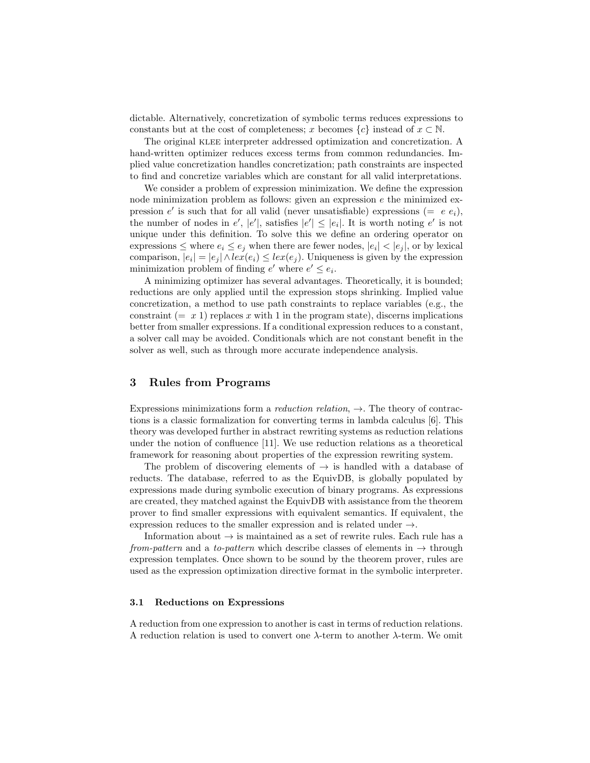dictable. Alternatively, concretization of symbolic terms reduces expressions to constants but at the cost of completeness; x becomes  $\{c\}$  instead of  $x \subset \mathbb{N}$ .

The original klee interpreter addressed optimization and concretization. A hand-written optimizer reduces excess terms from common redundancies. Implied value concretization handles concretization; path constraints are inspected to find and concretize variables which are constant for all valid interpretations.

We consider a problem of expression minimization. We define the expression node minimization problem as follows: given an expression  $e$  the minimized expression  $e'$  is such that for all valid (never unsatisfiable) expressions  $(= e e_i)$ , the number of nodes in e', |e'|, satisfies  $|e'|\leq |e_i|$ . It is worth noting e' is not unique under this definition. To solve this we define an ordering operator on expressions  $\leq$  where  $e_i \leq e_j$  when there are fewer nodes,  $|e_i| < |e_j|$ , or by lexical comparison,  $|e_i| = |e_j| \wedge lex(e_i) \leq lex(e_j)$ . Uniqueness is given by the expression minimization problem of finding  $e'$  where  $e' \leq e_i$ .

A minimizing optimizer has several advantages. Theoretically, it is bounded; reductions are only applied until the expression stops shrinking. Implied value concretization, a method to use path constraints to replace variables (e.g., the constraint  $(= x 1)$  replaces x with 1 in the program state), discerns implications better from smaller expressions. If a conditional expression reduces to a constant, a solver call may be avoided. Conditionals which are not constant benefit in the solver as well, such as through more accurate independence analysis.

# 3 Rules from Programs

Expressions minimizations form a *reduction relation*,  $\rightarrow$ . The theory of contractions is a classic formalization for converting terms in lambda calculus [6]. This theory was developed further in abstract rewriting systems as reduction relations under the notion of confluence [11]. We use reduction relations as a theoretical framework for reasoning about properties of the expression rewriting system.

The problem of discovering elements of  $\rightarrow$  is handled with a database of reducts. The database, referred to as the EquivDB, is globally populated by expressions made during symbolic execution of binary programs. As expressions are created, they matched against the EquivDB with assistance from the theorem prover to find smaller expressions with equivalent semantics. If equivalent, the expression reduces to the smaller expression and is related under  $\rightarrow$ .

Information about  $\rightarrow$  is maintained as a set of rewrite rules. Each rule has a from-pattern and a to-pattern which describe classes of elements in  $\rightarrow$  through expression templates. Once shown to be sound by the theorem prover, rules are used as the expression optimization directive format in the symbolic interpreter.

## 3.1 Reductions on Expressions

A reduction from one expression to another is cast in terms of reduction relations. A reduction relation is used to convert one  $\lambda$ -term to another  $\lambda$ -term. We omit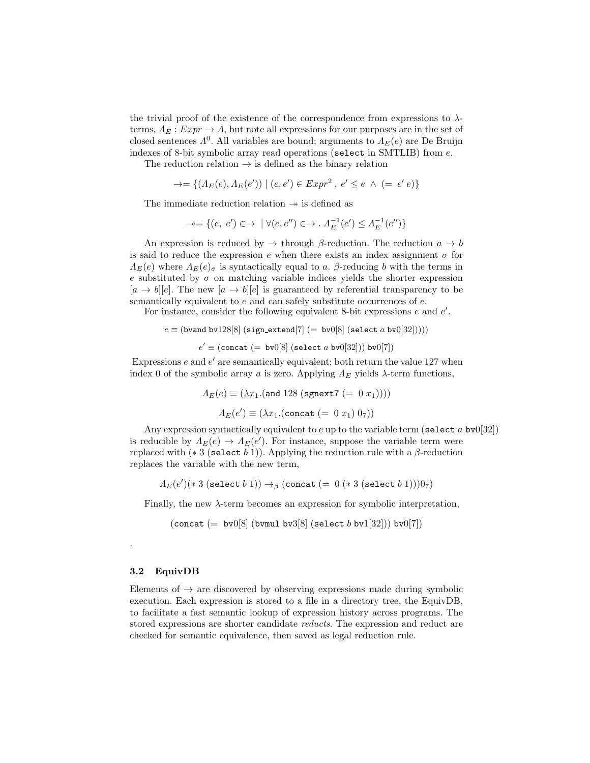the trivial proof of the existence of the correspondence from expressions to  $\lambda$ terms,  $A_E : Expr \to A$ , but note all expressions for our purposes are in the set of closed sentences  $\Lambda^0$ . All variables are bound; arguments to  $\Lambda_E(e)$  are De Bruijn indexes of 8-bit symbolic array read operations (select in SMTLIB) from e.

The reduction relation  $\rightarrow$  is defined as the binary relation

$$
\to = \{ (A_E(e), A_E(e')) \mid (e, e') \in Expr^2 \, , \, e' \le e \, \land \, (= e' \, e) \}
$$

The immediate reduction relation  $\rightarrow$  is defined as

$$
\rightarrow=\{(e,\;e')\in\rightarrow\;|\;\forall(e,e'')\in\rightarrow\,.\,\varLambda_E^{-1}(e')\le\varLambda_E^{-1}(e'')\}
$$

An expression is reduced by  $\rightarrow$  through  $\beta$ -reduction. The reduction  $a \rightarrow b$ is said to reduce the expression e when there exists an index assignment  $\sigma$  for  $\Lambda_E(e)$  where  $\Lambda_E(e)_{\sigma}$  is syntactically equal to a. β-reducing b with the terms in e substituted by  $\sigma$  on matching variable indices yields the shorter expression  $[a \rightarrow b][e]$ . The new  $[a \rightarrow b][e]$  is guaranteed by referential transparency to be semantically equivalent to  $e$  and can safely substitute occurrences of  $e$ .

For instance, consider the following equivalent 8-bit expressions  $e$  and  $e'$ .

$$
e \equiv (\texttt{bvand bvl28[8]~(sign\_extend[7]~(=~bv0[8]~(select~a~bv0[32)])))}
$$

 $e' \equiv$  (concat (= bv $0[8]$  (select  $a$  bv $0[32]$ )) bv $0[7]$ )

Expressions  $e$  and  $e'$  are semantically equivalent; both return the value 127 when index 0 of the symbolic array a is zero. Applying  $\Lambda_E$  yields  $\lambda$ -term functions,

$$
\Lambda_E(e) \equiv (\lambda x_1.(\text{and } 128 \text{ (sgnext7 (= 0 x_1))))
$$

$$
\Lambda_E(e') \equiv (\lambda x_1.(\text{concat } (= 0 x_1) 0_7))
$$

Any expression syntactically equivalent to  $e$  up to the variable term (select a bv0[32]) is reducible by  $\Lambda_E(e) \to \Lambda_E(e')$ . For instance, suppose the variable term were replaced with (\* 3 (select b 1)). Applying the reduction rule with a β-reduction replaces the variable with the new term,

 $\Lambda_E(e') (*3 \text{ (select } b 1)) \rightarrow_\beta \text{(concat (= 0 (* 3 \text{ (select } b 1))07)}$ 

Finally, the new  $\lambda$ -term becomes an expression for symbolic interpretation,

(concat (= bv0[8] (bvmul bv3[8] (select b bv1[32])) bv0[7])

### 3.2 EquivDB

.

Elements of  $\rightarrow$  are discovered by observing expressions made during symbolic execution. Each expression is stored to a file in a directory tree, the EquivDB, to facilitate a fast semantic lookup of expression history across programs. The stored expressions are shorter candidate *reducts*. The expression and reduct are checked for semantic equivalence, then saved as legal reduction rule.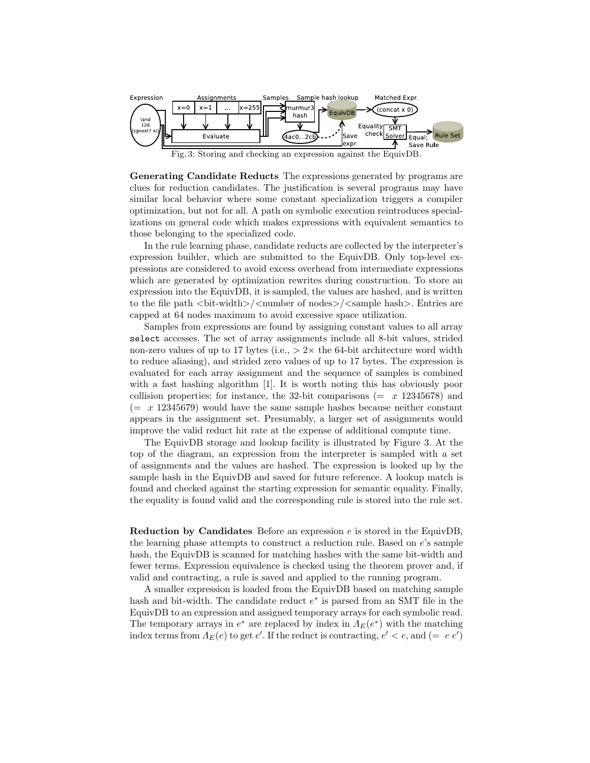

Generating Candidate Reducts The expressions generated by programs are clues for reduction candidates. The justification is several programs may have similar local behavior where some constant specialization triggers a compiler optimization, but not for all. A path on symbolic execution reintroduces specializations on general code which makes expressions with equivalent semantics to those belonging to the specialized code.

In the rule learning phase, candidate reducts are collected by the interpreter's expression builder, which are submitted to the EquivDB. Only top-level expressions are considered to avoid excess overhead from intermediate expressions which are generated by optimization rewrites during construction. To store an expression into the EquivDB, it is sampled, the values are hashed, and is written to the file path  $\langle \text{bit-width} \rangle / \langle \text{number of nodes} \rangle / \langle \text{sample hash} \rangle$ . Entries are capped at 64 nodes maximum to avoid excessive space utilization.

Samples from expressions are found by assigning constant values to all array select accesses. The set of array assignments include all 8-bit values, strided non-zero values of up to 17 bytes (i.e.,  $> 2 \times$  the 64-bit architecture word width to reduce aliasing), and strided zero values of up to 17 bytes. The expression is evaluated for each array assignment and the sequence of samples is combined with a fast hashing algorithm [1]. It is worth noting this has obviously poor collision properties; for instance, the 32-bit comparisons  $(= x \ 12345678)$  and  $(= x 12345679)$  would have the same sample hashes because neither constant appears in the assignment set. Presumably, a larger set of assignments would improve the valid reduct hit rate at the expense of additional compute time.

The EquivDB storage and lookup facility is illustrated by Figure 3. At the top of the diagram, an expression from the interpreter is sampled with a set of assignments and the values are hashed. The expression is looked up by the sample hash in the EquivDB and saved for future reference. A lookup match is found and checked against the starting expression for semantic equality. Finally, the equality is found valid and the corresponding rule is stored into the rule set.

Reduction by Candidates Before an expression  $e$  is stored in the EquivDB, the learning phase attempts to construct a reduction rule. Based on e's sample hash, the EquivDB is scanned for matching hashes with the same bit-width and fewer terms. Expression equivalence is checked using the theorem prover and, if valid and contracting, a rule is saved and applied to the running program.

A smaller expression is loaded from the EquivDB based on matching sample hash and bit-width. The candidate reduct  $e^*$  is parsed from an SMT file in the EquivDB to an expression and assigned temporary arrays for each symbolic read. The temporary arrays in  $e^*$  are replaced by index in  $\Lambda_E(e^*)$  with the matching index terms from  $\Lambda_E(e)$  to get  $e'$ . If the reduct is contracting,  $e' < e$ , and  $(e e e')$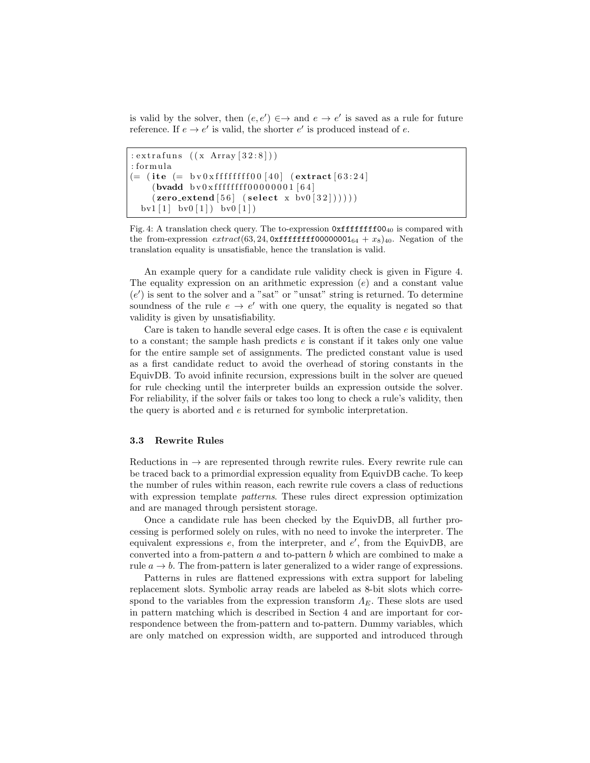is valid by the solver, then  $(e, e') \in \rightarrow$  and  $e \rightarrow e'$  is saved as a rule for future reference. If  $e \to e'$  is valid, the shorter  $e'$  is produced instead of  $e$ .

```
: extrafuns ((x \text{ Array} [32:8])): formula
(= (ite = by0xffffffff00[40] (extract[63:24])
     (bvadd b v 0xfffffff 00000001[64](\text{zero\_extend}\left[56\right]\; (\text{select}\; \; x\; \; bv0\left[32\right])))))bvl[1] bv0[1] ) bv0[1]
```

```
Fig. 4: A translation check query. The to-expression 0xffffffff00<sub>40</sub> is compared with
the from-expression extract(63, 24, 0xffffffff000000001<sub>64</sub> + x_8)<sub>40</sub>. Negation of the
translation equality is unsatisfiable, hence the translation is valid.
```
An example query for a candidate rule validity check is given in Figure 4. The equality expression on an arithmetic expression  $(e)$  and a constant value  $(e')$  is sent to the solver and a "sat" or "unsat" string is returned. To determine soundness of the rule  $e \rightarrow e'$  with one query, the equality is negated so that validity is given by unsatisfiability.

Care is taken to handle several edge cases. It is often the case  $e$  is equivalent to a constant; the sample hash predicts  $e$  is constant if it takes only one value for the entire sample set of assignments. The predicted constant value is used as a first candidate reduct to avoid the overhead of storing constants in the EquivDB. To avoid infinite recursion, expressions built in the solver are queued for rule checking until the interpreter builds an expression outside the solver. For reliability, if the solver fails or takes too long to check a rule's validity, then the query is aborted and e is returned for symbolic interpretation.

### 3.3 Rewrite Rules

Reductions in  $\rightarrow$  are represented through rewrite rules. Every rewrite rule can be traced back to a primordial expression equality from EquivDB cache. To keep the number of rules within reason, each rewrite rule covers a class of reductions with expression template *patterns*. These rules direct expression optimization and are managed through persistent storage.

Once a candidate rule has been checked by the EquivDB, all further processing is performed solely on rules, with no need to invoke the interpreter. The equivalent expressions  $e$ , from the interpreter, and  $e'$ , from the EquivDB, are converted into a from-pattern a and to-pattern b which are combined to make a rule  $a \rightarrow b$ . The from-pattern is later generalized to a wider range of expressions.

Patterns in rules are flattened expressions with extra support for labeling replacement slots. Symbolic array reads are labeled as 8-bit slots which correspond to the variables from the expression transform  $\Lambda_E$ . These slots are used in pattern matching which is described in Section 4 and are important for correspondence between the from-pattern and to-pattern. Dummy variables, which are only matched on expression width, are supported and introduced through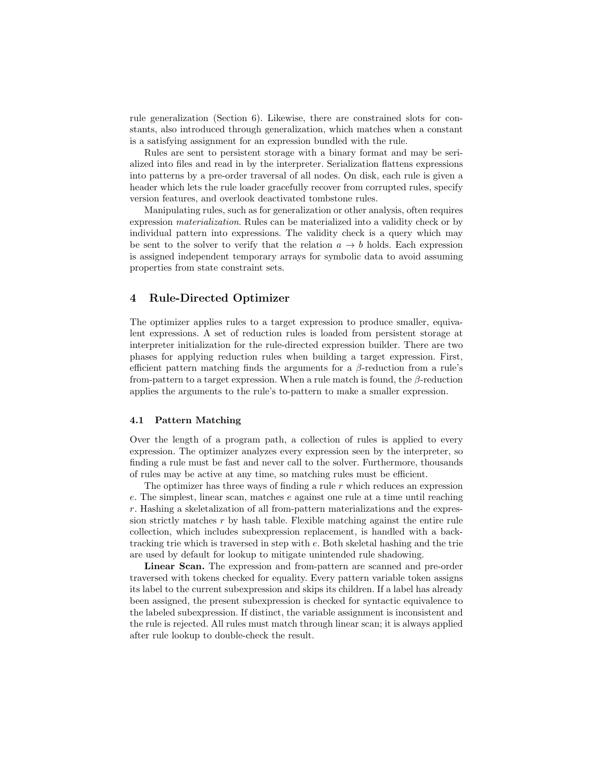rule generalization (Section 6). Likewise, there are constrained slots for constants, also introduced through generalization, which matches when a constant is a satisfying assignment for an expression bundled with the rule.

Rules are sent to persistent storage with a binary format and may be serialized into files and read in by the interpreter. Serialization flattens expressions into patterns by a pre-order traversal of all nodes. On disk, each rule is given a header which lets the rule loader gracefully recover from corrupted rules, specify version features, and overlook deactivated tombstone rules.

Manipulating rules, such as for generalization or other analysis, often requires expression materialization. Rules can be materialized into a validity check or by individual pattern into expressions. The validity check is a query which may be sent to the solver to verify that the relation  $a \to b$  holds. Each expression is assigned independent temporary arrays for symbolic data to avoid assuming properties from state constraint sets.

## 4 Rule-Directed Optimizer

The optimizer applies rules to a target expression to produce smaller, equivalent expressions. A set of reduction rules is loaded from persistent storage at interpreter initialization for the rule-directed expression builder. There are two phases for applying reduction rules when building a target expression. First, efficient pattern matching finds the arguments for a  $\beta$ -reduction from a rule's from-pattern to a target expression. When a rule match is found, the  $\beta$ -reduction applies the arguments to the rule's to-pattern to make a smaller expression.

#### 4.1 Pattern Matching

Over the length of a program path, a collection of rules is applied to every expression. The optimizer analyzes every expression seen by the interpreter, so finding a rule must be fast and never call to the solver. Furthermore, thousands of rules may be active at any time, so matching rules must be efficient.

The optimizer has three ways of finding a rule r which reduces an expression  $e$ . The simplest, linear scan, matches  $e$  against one rule at a time until reaching r. Hashing a skeletalization of all from-pattern materializations and the expression strictly matches  $r$  by hash table. Flexible matching against the entire rule collection, which includes subexpression replacement, is handled with a backtracking trie which is traversed in step with e. Both skeletal hashing and the trie are used by default for lookup to mitigate unintended rule shadowing.

Linear Scan. The expression and from-pattern are scanned and pre-order traversed with tokens checked for equality. Every pattern variable token assigns its label to the current subexpression and skips its children. If a label has already been assigned, the present subexpression is checked for syntactic equivalence to the labeled subexpression. If distinct, the variable assignment is inconsistent and the rule is rejected. All rules must match through linear scan; it is always applied after rule lookup to double-check the result.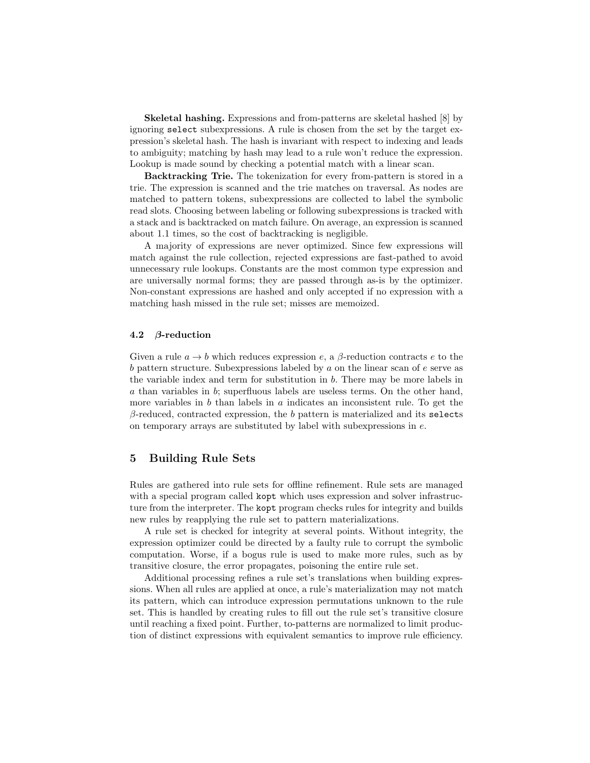Skeletal hashing. Expressions and from-patterns are skeletal hashed [8] by ignoring select subexpressions. A rule is chosen from the set by the target expression's skeletal hash. The hash is invariant with respect to indexing and leads to ambiguity; matching by hash may lead to a rule won't reduce the expression. Lookup is made sound by checking a potential match with a linear scan.

Backtracking Trie. The tokenization for every from-pattern is stored in a trie. The expression is scanned and the trie matches on traversal. As nodes are matched to pattern tokens, subexpressions are collected to label the symbolic read slots. Choosing between labeling or following subexpressions is tracked with a stack and is backtracked on match failure. On average, an expression is scanned about 1.1 times, so the cost of backtracking is negligible.

A majority of expressions are never optimized. Since few expressions will match against the rule collection, rejected expressions are fast-pathed to avoid unnecessary rule lookups. Constants are the most common type expression and are universally normal forms; they are passed through as-is by the optimizer. Non-constant expressions are hashed and only accepted if no expression with a matching hash missed in the rule set; misses are memoized.

#### 4.2  $\beta$ -reduction

Given a rule  $a \to b$  which reduces expression e, a  $\beta$ -reduction contracts e to the b pattern structure. Subexpressions labeled by a on the linear scan of  $e$  serve as the variable index and term for substitution in b. There may be more labels in a than variables in b; superfluous labels are useless terms. On the other hand, more variables in  $b$  than labels in  $a$  indicates an inconsistent rule. To get the  $\beta$ -reduced, contracted expression, the b pattern is materialized and its selects on temporary arrays are substituted by label with subexpressions in  $e$ .

## 5 Building Rule Sets

Rules are gathered into rule sets for offline refinement. Rule sets are managed with a special program called kopt which uses expression and solver infrastructure from the interpreter. The kopt program checks rules for integrity and builds new rules by reapplying the rule set to pattern materializations.

A rule set is checked for integrity at several points. Without integrity, the expression optimizer could be directed by a faulty rule to corrupt the symbolic computation. Worse, if a bogus rule is used to make more rules, such as by transitive closure, the error propagates, poisoning the entire rule set.

Additional processing refines a rule set's translations when building expressions. When all rules are applied at once, a rule's materialization may not match its pattern, which can introduce expression permutations unknown to the rule set. This is handled by creating rules to fill out the rule set's transitive closure until reaching a fixed point. Further, to-patterns are normalized to limit production of distinct expressions with equivalent semantics to improve rule efficiency.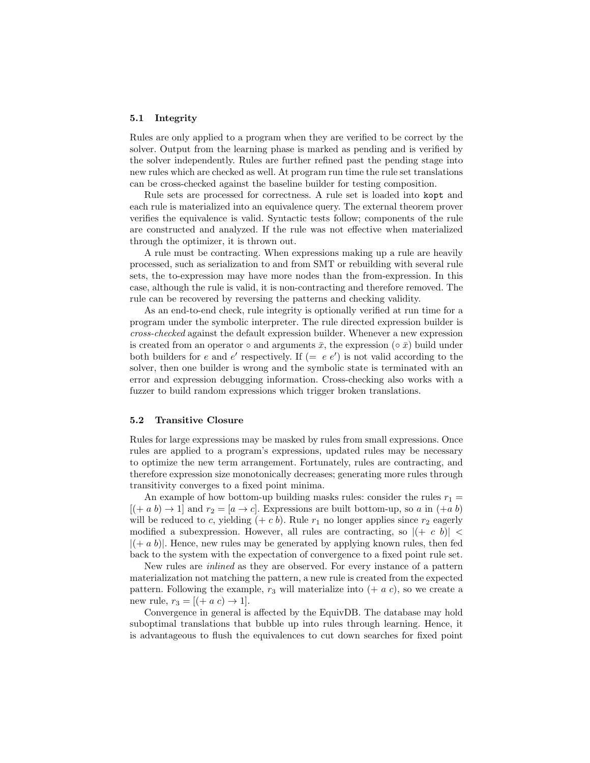#### 5.1 Integrity

Rules are only applied to a program when they are verified to be correct by the solver. Output from the learning phase is marked as pending and is verified by the solver independently. Rules are further refined past the pending stage into new rules which are checked as well. At program run time the rule set translations can be cross-checked against the baseline builder for testing composition.

Rule sets are processed for correctness. A rule set is loaded into kopt and each rule is materialized into an equivalence query. The external theorem prover verifies the equivalence is valid. Syntactic tests follow; components of the rule are constructed and analyzed. If the rule was not effective when materialized through the optimizer, it is thrown out.

A rule must be contracting. When expressions making up a rule are heavily processed, such as serialization to and from SMT or rebuilding with several rule sets, the to-expression may have more nodes than the from-expression. In this case, although the rule is valid, it is non-contracting and therefore removed. The rule can be recovered by reversing the patterns and checking validity.

As an end-to-end check, rule integrity is optionally verified at run time for a program under the symbolic interpreter. The rule directed expression builder is cross-checked against the default expression builder. Whenever a new expression is created from an operator  $\circ$  and arguments  $\bar{x}$ , the expression  $(\circ \bar{x})$  build under both builders for e and e' respectively. If  $(= e e')$  is not valid according to the solver, then one builder is wrong and the symbolic state is terminated with an error and expression debugging information. Cross-checking also works with a fuzzer to build random expressions which trigger broken translations.

#### 5.2 Transitive Closure

Rules for large expressions may be masked by rules from small expressions. Once rules are applied to a program's expressions, updated rules may be necessary to optimize the new term arrangement. Fortunately, rules are contracting, and therefore expression size monotonically decreases; generating more rules through transitivity converges to a fixed point minima.

An example of how bottom-up building masks rules: consider the rules  $r_1 =$  $[(+ a b) \rightarrow 1]$  and  $r_2 = [a \rightarrow c]$ . Expressions are built bottom-up, so a in  $(+ a b)$ will be reduced to c, yielding  $(+ c b)$ . Rule  $r_1$  no longer applies since  $r_2$  eagerly modified a subexpression. However, all rules are contracting, so  $|(+ c b)|$  <  $|(+ a b)|$ . Hence, new rules may be generated by applying known rules, then fed back to the system with the expectation of convergence to a fixed point rule set.

New rules are inlined as they are observed. For every instance of a pattern materialization not matching the pattern, a new rule is created from the expected pattern. Following the example,  $r_3$  will materialize into  $(+ a c)$ , so we create a new rule,  $r_3 = \left[ (+ a c) \rightarrow 1 \right]$ .

Convergence in general is affected by the EquivDB. The database may hold suboptimal translations that bubble up into rules through learning. Hence, it is advantageous to flush the equivalences to cut down searches for fixed point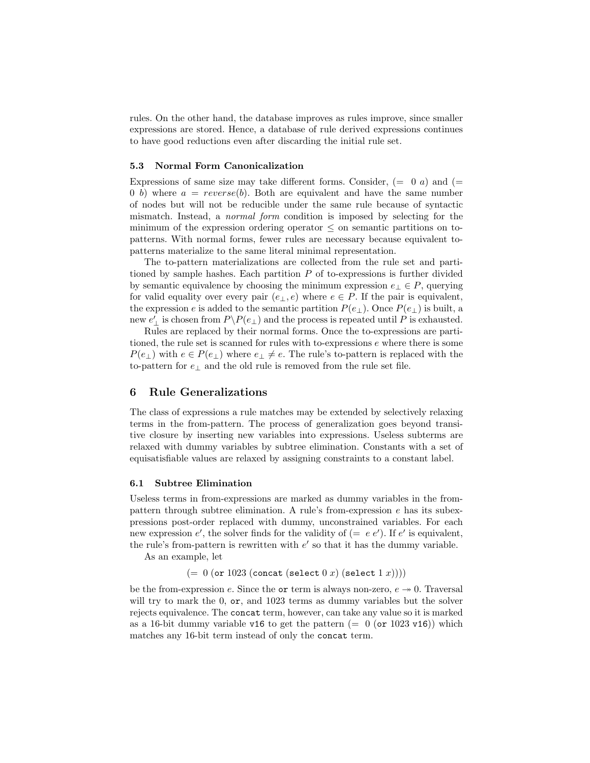rules. On the other hand, the database improves as rules improve, since smaller expressions are stored. Hence, a database of rule derived expressions continues to have good reductions even after discarding the initial rule set.

### 5.3 Normal Form Canonicalization

Expressions of same size may take different forms. Consider,  $(= 0 a)$  and  $(=$ 0 b) where  $a = reverse(b)$ . Both are equivalent and have the same number of nodes but will not be reducible under the same rule because of syntactic mismatch. Instead, a normal form condition is imposed by selecting for the minimum of the expression ordering operator  $\leq$  on semantic partitions on topatterns. With normal forms, fewer rules are necessary because equivalent topatterns materialize to the same literal minimal representation.

The to-pattern materializations are collected from the rule set and partitioned by sample hashes. Each partition  $P$  of to-expressions is further divided by semantic equivalence by choosing the minimum expression  $e_{\perp} \in P$ , querying for valid equality over every pair  $(e_{\perp}, e)$  where  $e \in P$ . If the pair is equivalent, the expression e is added to the semantic partition  $P(e_{\perp})$ . Once  $P(e_{\perp})$  is built, a new  $e'_{\perp}$  is chosen from  $P \backslash P(e_{\perp})$  and the process is repeated until P is exhausted.

Rules are replaced by their normal forms. Once the to-expressions are partitioned, the rule set is scanned for rules with to-expressions  $e$  where there is some  $P(e_{\perp})$  with  $e \in P(e_{\perp})$  where  $e_{\perp} \neq e$ . The rule's to-pattern is replaced with the to-pattern for  $e_{\perp}$  and the old rule is removed from the rule set file.

# 6 Rule Generalizations

The class of expressions a rule matches may be extended by selectively relaxing terms in the from-pattern. The process of generalization goes beyond transitive closure by inserting new variables into expressions. Useless subterms are relaxed with dummy variables by subtree elimination. Constants with a set of equisatisfiable values are relaxed by assigning constraints to a constant label.

#### 6.1 Subtree Elimination

Useless terms in from-expressions are marked as dummy variables in the frompattern through subtree elimination. A rule's from-expression  $e$  has its subexpressions post-order replaced with dummy, unconstrained variables. For each new expression e', the solver finds for the validity of  $(= e e')$ . If e' is equivalent, the rule's from-pattern is rewritten with  $e'$  so that it has the dummy variable.

As an example, let

 $(= 0$  (or 1023 (concat (select 0 x) (select 1 x))))

be the from-expression e. Since the or term is always non-zero,  $e \rightarrow 0$ . Traversal will try to mark the 0, or, and 1023 terms as dummy variables but the solver rejects equivalence. The concat term, however, can take any value so it is marked as a 16-bit dummy variable v16 to get the pattern  $(= 0 \text{ (or } 1023 \text{ v16)})$  which matches any 16-bit term instead of only the concat term.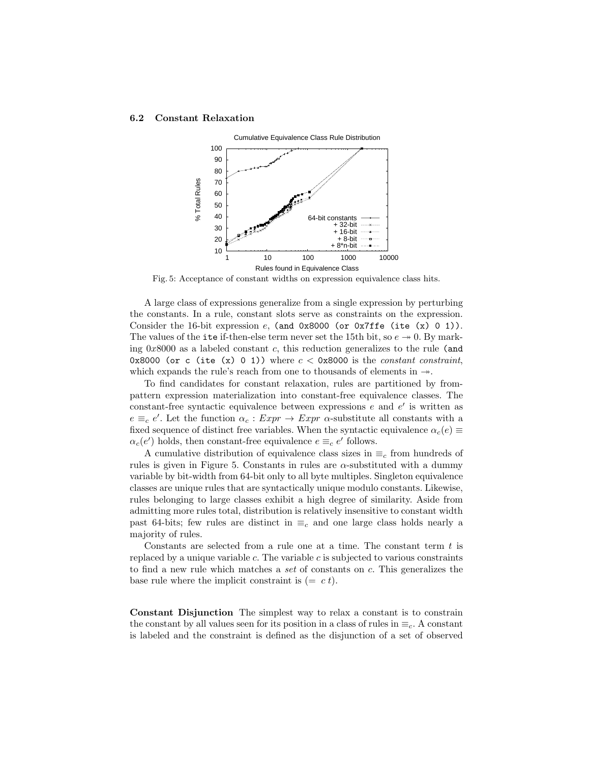#### 6.2 Constant Relaxation



Fig. 5: Acceptance of constant widths on expression equivalence class hits.

A large class of expressions generalize from a single expression by perturbing the constants. In a rule, constant slots serve as constraints on the expression. Consider the 16-bit expression  $e$ , (and 0x8000 (or 0x7ffe (ite (x) 0 1)). The values of the ite if-then-else term never set the 15th bit, so  $e \rightarrow 0$ . By marking  $0x8000$  as a labeled constant c, this reduction generalizes to the rule (and 0x8000 (or c (ite (x) 0 1)) where  $c < 0x8000$  is the *constant constraint*, which expands the rule's reach from one to thousands of elements in  $\rightarrow$ .

To find candidates for constant relaxation, rules are partitioned by frompattern expression materialization into constant-free equivalence classes. The constant-free syntactic equivalence between expressions  $e$  and  $e'$  is written as  $e \equiv_c e'$ . Let the function  $\alpha_c : Expr \to Expr$   $\alpha$ -substitute all constants with a fixed sequence of distinct free variables. When the syntactic equivalence  $\alpha_c(e) \equiv$  $\alpha_c(e')$  holds, then constant-free equivalence  $e \equiv_c e'$  follows.

A cumulative distribution of equivalence class sizes in  $\equiv_c$  from hundreds of rules is given in Figure 5. Constants in rules are  $\alpha$ -substituted with a dummy variable by bit-width from 64-bit only to all byte multiples. Singleton equivalence classes are unique rules that are syntactically unique modulo constants. Likewise, rules belonging to large classes exhibit a high degree of similarity. Aside from admitting more rules total, distribution is relatively insensitive to constant width past 64-bits; few rules are distinct in  $\equiv_c$  and one large class holds nearly a majority of rules.

Constants are selected from a rule one at a time. The constant term  $t$  is replaced by a unique variable  $c$ . The variable  $c$  is subjected to various constraints to find a new rule which matches a set of constants on c. This generalizes the base rule where the implicit constraint is  $(= c t)$ .

Constant Disjunction The simplest way to relax a constant is to constrain the constant by all values seen for its position in a class of rules in  $\equiv_c$ . A constant is labeled and the constraint is defined as the disjunction of a set of observed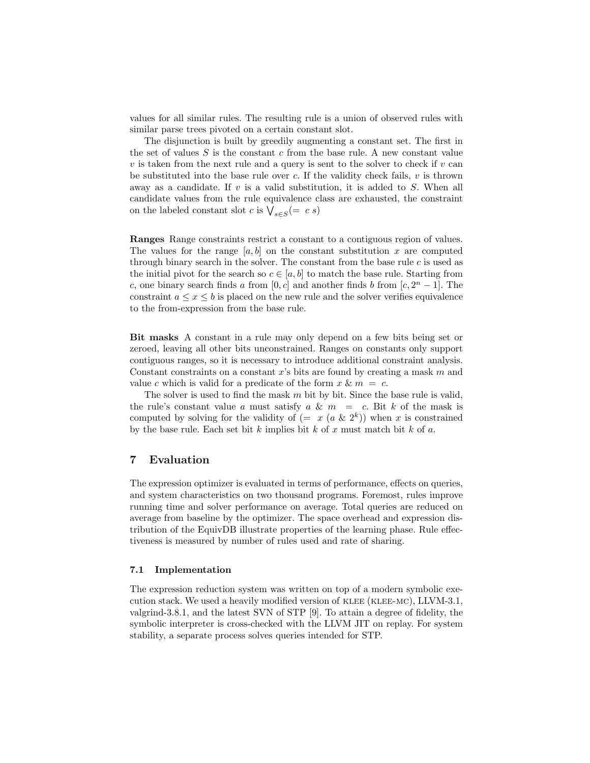values for all similar rules. The resulting rule is a union of observed rules with similar parse trees pivoted on a certain constant slot.

The disjunction is built by greedily augmenting a constant set. The first in the set of values  $S$  is the constant  $c$  from the base rule. A new constant value  $v$  is taken from the next rule and a query is sent to the solver to check if  $v$  can be substituted into the base rule over  $c$ . If the validity check fails,  $v$  is thrown away as a candidate. If  $v$  is a valid substitution, it is added to  $S$ . When all candidate values from the rule equivalence class are exhausted, the constraint on the labeled constant slot c is  $\bigvee_{s \in S} (= c s)$ 

Ranges Range constraints restrict a constant to a contiguous region of values. The values for the range  $[a, b]$  on the constant substitution x are computed through binary search in the solver. The constant from the base rule c is used as the initial pivot for the search so  $c \in [a, b]$  to match the base rule. Starting from c, one binary search finds a from  $[0, c]$  and another finds b from  $[c, 2<sup>n</sup> - 1]$ . The constraint  $a \leq x \leq b$  is placed on the new rule and the solver verifies equivalence to the from-expression from the base rule.

Bit masks A constant in a rule may only depend on a few bits being set or zeroed, leaving all other bits unconstrained. Ranges on constants only support contiguous ranges, so it is necessary to introduce additional constraint analysis. Constant constraints on a constant  $x$ 's bits are found by creating a mask  $m$  and value c which is valid for a predicate of the form  $x \& m = c$ .

The solver is used to find the mask  $m$  bit by bit. Since the base rule is valid, the rule's constant value a must satisfy a &  $m = c$ . Bit k of the mask is computed by solving for the validity of  $(= x (a \& 2^k))$  when x is constrained by the base rule. Each set bit  $k$  implies bit  $k$  of  $x$  must match bit  $k$  of  $a$ .

## 7 Evaluation

The expression optimizer is evaluated in terms of performance, effects on queries, and system characteristics on two thousand programs. Foremost, rules improve running time and solver performance on average. Total queries are reduced on average from baseline by the optimizer. The space overhead and expression distribution of the EquivDB illustrate properties of the learning phase. Rule effectiveness is measured by number of rules used and rate of sharing.

## 7.1 Implementation

The expression reduction system was written on top of a modern symbolic execution stack. We used a heavily modified version of klee (klee-mc), LLVM-3.1, valgrind-3.8.1, and the latest SVN of STP [9]. To attain a degree of fidelity, the symbolic interpreter is cross-checked with the LLVM JIT on replay. For system stability, a separate process solves queries intended for STP.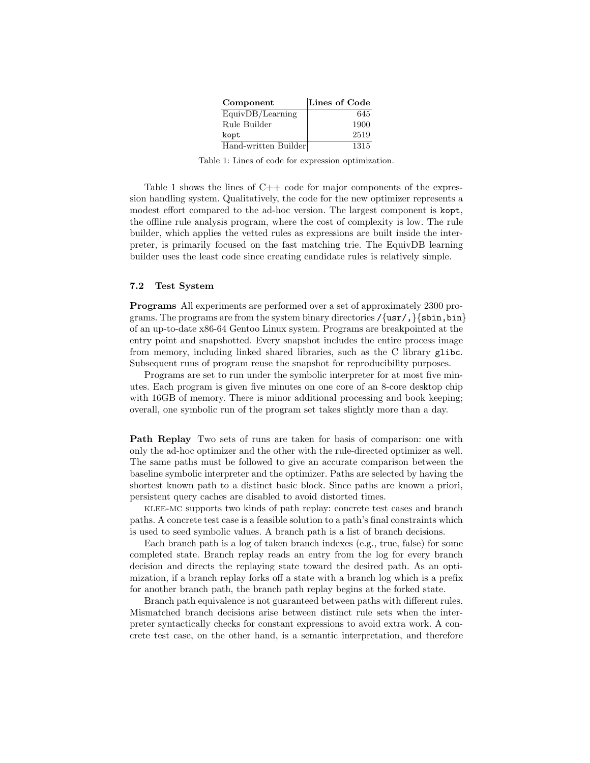| Component            | Lines of Code |
|----------------------|---------------|
| EquivDB/Learning     | 645           |
| Rule Builder         | 1900          |
| kopt                 | 2519          |
| Hand-written Builder | 1315          |

Table 1: Lines of code for expression optimization.

Table 1 shows the lines of  $C++$  code for major components of the expression handling system. Qualitatively, the code for the new optimizer represents a modest effort compared to the ad-hoc version. The largest component is kopt, the offline rule analysis program, where the cost of complexity is low. The rule builder, which applies the vetted rules as expressions are built inside the interpreter, is primarily focused on the fast matching trie. The EquivDB learning builder uses the least code since creating candidate rules is relatively simple.

### 7.2 Test System

Programs All experiments are performed over a set of approximately 2300 programs. The programs are from the system binary directories  $/\{\text{usr},\{\}\}\$ sbin,bin $\}$ of an up-to-date x86-64 Gentoo Linux system. Programs are breakpointed at the entry point and snapshotted. Every snapshot includes the entire process image from memory, including linked shared libraries, such as the C library glibc. Subsequent runs of program reuse the snapshot for reproducibility purposes.

Programs are set to run under the symbolic interpreter for at most five minutes. Each program is given five minutes on one core of an 8-core desktop chip with 16GB of memory. There is minor additional processing and book keeping; overall, one symbolic run of the program set takes slightly more than a day.

Path Replay Two sets of runs are taken for basis of comparison: one with only the ad-hoc optimizer and the other with the rule-directed optimizer as well. The same paths must be followed to give an accurate comparison between the baseline symbolic interpreter and the optimizer. Paths are selected by having the shortest known path to a distinct basic block. Since paths are known a priori, persistent query caches are disabled to avoid distorted times.

klee-mc supports two kinds of path replay: concrete test cases and branch paths. A concrete test case is a feasible solution to a path's final constraints which is used to seed symbolic values. A branch path is a list of branch decisions.

Each branch path is a log of taken branch indexes (e.g., true, false) for some completed state. Branch replay reads an entry from the log for every branch decision and directs the replaying state toward the desired path. As an optimization, if a branch replay forks off a state with a branch log which is a prefix for another branch path, the branch path replay begins at the forked state.

Branch path equivalence is not guaranteed between paths with different rules. Mismatched branch decisions arise between distinct rule sets when the interpreter syntactically checks for constant expressions to avoid extra work. A concrete test case, on the other hand, is a semantic interpretation, and therefore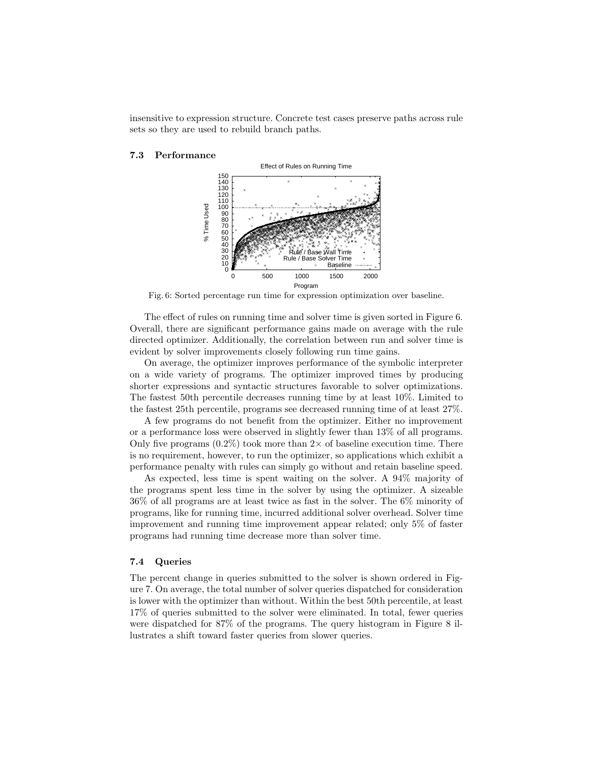insensitive to expression structure. Concrete test cases preserve paths across rule sets so they are used to rebuild branch paths.

### 7.3 Performance



Fig. 6: Sorted percentage run time for expression optimization over baseline.

The effect of rules on running time and solver time is given sorted in Figure 6. Overall, there are significant performance gains made on average with the rule directed optimizer. Additionally, the correlation between run and solver time is evident by solver improvements closely following run time gains.

On average, the optimizer improves performance of the symbolic interpreter on a wide variety of programs. The optimizer improved times by producing shorter expressions and syntactic structures favorable to solver optimizations. The fastest 50th percentile decreases running time by at least 10%. Limited to the fastest 25th percentile, programs see decreased running time of at least 27%.

A few programs do not benefit from the optimizer. Either no improvement or a performance loss were observed in slightly fewer than 13% of all programs. Only five programs  $(0.2\%)$  took more than  $2\times$  of baseline execution time. There is no requirement, however, to run the optimizer, so applications which exhibit a performance penalty with rules can simply go without and retain baseline speed.

As expected, less time is spent waiting on the solver. A 94% majority of the programs spent less time in the solver by using the optimizer. A sizeable 36% of all programs are at least twice as fast in the solver. The 6% minority of programs, like for running time, incurred additional solver overhead. Solver time improvement and running time improvement appear related; only 5% of faster programs had running time decrease more than solver time.

## 7.4 Queries

The percent change in queries submitted to the solver is shown ordered in Figure 7. On average, the total number of solver queries dispatched for consideration is lower with the optimizer than without. Within the best 50th percentile, at least 17% of queries submitted to the solver were eliminated. In total, fewer queries were dispatched for 87% of the programs. The query histogram in Figure 8 illustrates a shift toward faster queries from slower queries.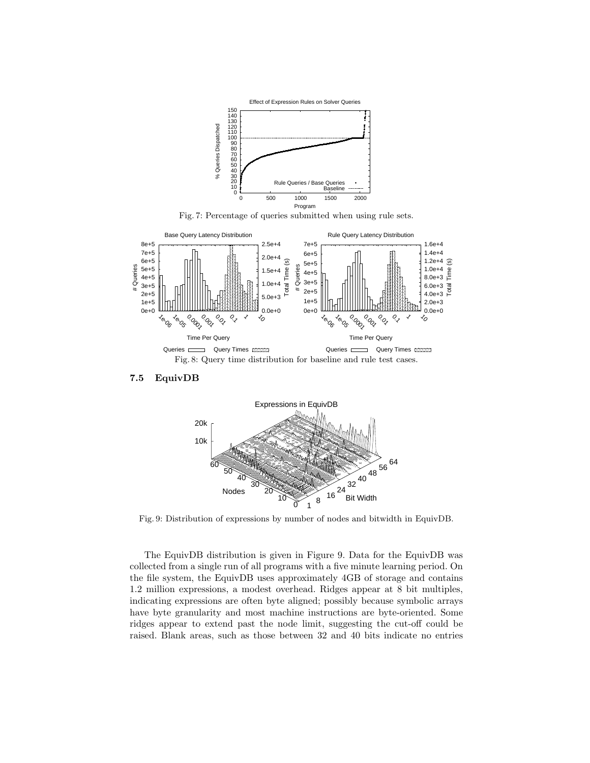

Fig. 7: Percentage of queries submitted when using rule sets.







Fig. 9: Distribution of expressions by number of nodes and bitwidth in EquivDB.

The EquivDB distribution is given in Figure 9. Data for the EquivDB was collected from a single run of all programs with a five minute learning period. On the file system, the EquivDB uses approximately 4GB of storage and contains 1.2 million expressions, a modest overhead. Ridges appear at 8 bit multiples, indicating expressions are often byte aligned; possibly because symbolic arrays have byte granularity and most machine instructions are byte-oriented. Some ridges appear to extend past the node limit, suggesting the cut-off could be raised. Blank areas, such as those between 32 and 40 bits indicate no entries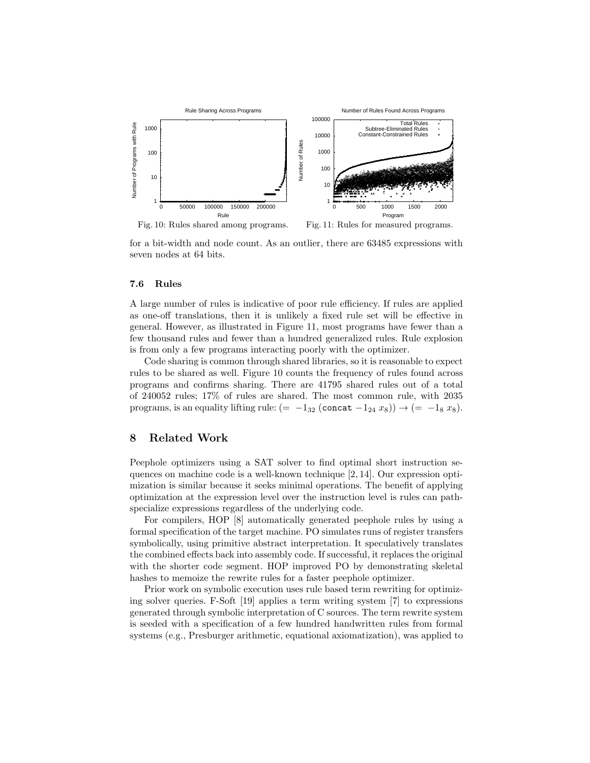

Fig. 10: Rules shared among programs. Fig. 11: Rules for measured programs.

for a bit-width and node count. As an outlier, there are 63485 expressions with seven nodes at 64 bits.

### 7.6 Rules

A large number of rules is indicative of poor rule efficiency. If rules are applied as one-off translations, then it is unlikely a fixed rule set will be effective in general. However, as illustrated in Figure 11, most programs have fewer than a few thousand rules and fewer than a hundred generalized rules. Rule explosion is from only a few programs interacting poorly with the optimizer.

Code sharing is common through shared libraries, so it is reasonable to expect rules to be shared as well. Figure 10 counts the frequency of rules found across programs and confirms sharing. There are 41795 shared rules out of a total of 240052 rules; 17% of rules are shared. The most common rule, with 2035 programs, is an equality lifting rule:  $(=-1_{32} (\text{concat} -1_{24} x_8)) \rightarrow (=-1_8 x_8)$ .

## 8 Related Work

Peephole optimizers using a SAT solver to find optimal short instruction sequences on machine code is a well-known technique [2, 14]. Our expression optimization is similar because it seeks minimal operations. The benefit of applying optimization at the expression level over the instruction level is rules can pathspecialize expressions regardless of the underlying code.

For compilers, HOP [8] automatically generated peephole rules by using a formal specification of the target machine. PO simulates runs of register transfers symbolically, using primitive abstract interpretation. It speculatively translates the combined effects back into assembly code. If successful, it replaces the original with the shorter code segment. HOP improved PO by demonstrating skeletal hashes to memoize the rewrite rules for a faster peephole optimizer.

Prior work on symbolic execution uses rule based term rewriting for optimizing solver queries. F-Soft [19] applies a term writing system [7] to expressions generated through symbolic interpretation of C sources. The term rewrite system is seeded with a specification of a few hundred handwritten rules from formal systems (e.g., Presburger arithmetic, equational axiomatization), was applied to